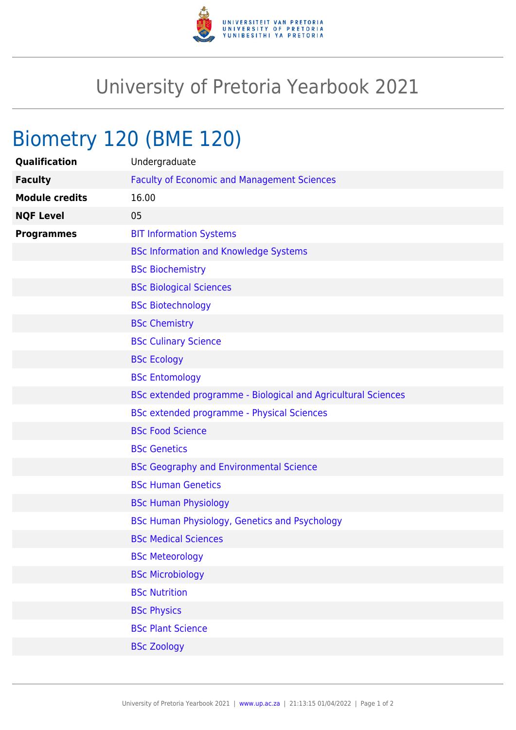

## University of Pretoria Yearbook 2021

## Biometry 120 (BME 120)

| Qualification         | Undergraduate                                                 |
|-----------------------|---------------------------------------------------------------|
| <b>Faculty</b>        | <b>Faculty of Economic and Management Sciences</b>            |
| <b>Module credits</b> | 16.00                                                         |
| <b>NQF Level</b>      | 05                                                            |
| <b>Programmes</b>     | <b>BIT Information Systems</b>                                |
|                       | <b>BSc Information and Knowledge Systems</b>                  |
|                       | <b>BSc Biochemistry</b>                                       |
|                       | <b>BSc Biological Sciences</b>                                |
|                       | <b>BSc Biotechnology</b>                                      |
|                       | <b>BSc Chemistry</b>                                          |
|                       | <b>BSc Culinary Science</b>                                   |
|                       | <b>BSc Ecology</b>                                            |
|                       | <b>BSc Entomology</b>                                         |
|                       | BSc extended programme - Biological and Agricultural Sciences |
|                       | BSc extended programme - Physical Sciences                    |
|                       | <b>BSc Food Science</b>                                       |
|                       | <b>BSc Genetics</b>                                           |
|                       | <b>BSc Geography and Environmental Science</b>                |
|                       | <b>BSc Human Genetics</b>                                     |
|                       | <b>BSc Human Physiology</b>                                   |
|                       | BSc Human Physiology, Genetics and Psychology                 |
|                       | <b>BSc Medical Sciences</b>                                   |
|                       | <b>BSc Meteorology</b>                                        |
|                       | <b>BSc Microbiology</b>                                       |
|                       | <b>BSc Nutrition</b>                                          |
|                       | <b>BSc Physics</b>                                            |
|                       | <b>BSc Plant Science</b>                                      |
|                       | <b>BSc Zoology</b>                                            |
|                       |                                                               |